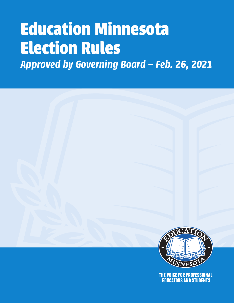# **Education Minnesota Election Rules**

*Approved by Governing Board – Feb. 26, 2021*



THE VOICE FOR PROFESSIONAL **EDUCATORS AND STUDENTS**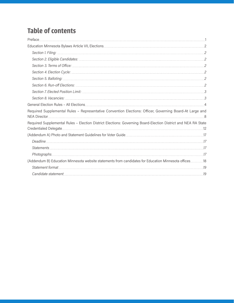# **Table of contents**

| Section 2. Eligible Candidates: 2008. [2] 2016. [2] 2016. [2] 2016. [2] 2016. [2] 2017. [2] 2017. [2                                                                                                                          |    |
|-------------------------------------------------------------------------------------------------------------------------------------------------------------------------------------------------------------------------------|----|
| Section 3. Terms of Office: 2008. [20] Section 3. Terms of Office: 2008. [20] Section 3. Terms of Office: 2008. [20] Section 3. Terms of Office: 2008. [20] Section 3. Terms of Office: 2008. [20] Section 4. [20] Section 4. |    |
|                                                                                                                                                                                                                               |    |
|                                                                                                                                                                                                                               |    |
| Section 6. Run-off Elections: 2006. [20] Section 8. Run-off Elections: 2006. [20] Section 6. Run-off Elections:                                                                                                               |    |
|                                                                                                                                                                                                                               |    |
| Section 8. Vacancies: 333 and 334 and 334 and 335 and 335 and 345 and 354 and 355 and 355 and 355 and 355 and 355 and 355 and 355 and 355 and 355 and 355 and 355 and 355 and 355 and 355 and 355 and 355 and 355 and 355 and |    |
|                                                                                                                                                                                                                               |    |
| Required Supplemental Rules - Representative Convention Elections: Officer, Governing Board-At Large and                                                                                                                      |    |
| Required Supplemental Rules - Election District Elections: Governing Board-Election District and NEA RA State                                                                                                                 |    |
| (Addendum A) Photo and Statement Guidelines for Voter Guide                                                                                                                                                                   |    |
|                                                                                                                                                                                                                               |    |
|                                                                                                                                                                                                                               |    |
|                                                                                                                                                                                                                               |    |
| (Addendum B) Education Minnesota website statements from candidates for Education Minnesota offices18                                                                                                                         |    |
|                                                                                                                                                                                                                               |    |
| Candidate statement                                                                                                                                                                                                           | 19 |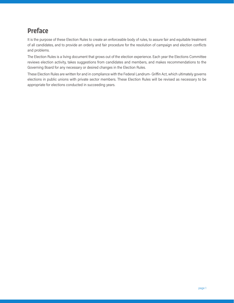# **Preface**

It is the purpose of these Election Rules to create an enforceable body of rules, to assure fair and equitable treatment of all candidates, and to provide an orderly and fair procedure for the resolution of campaign and election conflicts and problems.

The Election Rules is a living document that grows out of the election experience. Each year the Elections Committee reviews election activity, takes suggestions from candidates and members, and makes recommendations to the Governing Board for any necessary or desired changes in the Election Rules.

These Election Rules are written for and in compliance with the Federal Landrum- Griffin Act, which ultimately governs elections in public unions with private sector members. These Election Rules will be revised as necessary to be appropriate for elections conducted in succeeding years.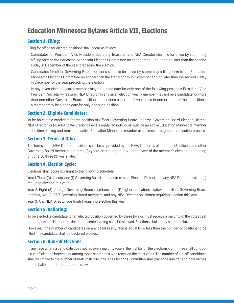# **Education Minnesota Bylaws Article VII, Elections**

# **Section 1. Filing:**

Filing for office for elected positions shall occur as follows:

- Candidates for President, Vice President, Secretary-Treasurer, and NEA Director shall file for office by submitting a filing form to the Education Minnesota Elections Committee no sooner than June 1 and no later than the second Friday in December of the year preceding the election.
- Candidates for other Governing Board positions shall file for office by submitting a filing form to the Education Minnesota Elections Committee no sooner than the first Monday in November and no later than the second Friday in December of the year preceding the election.
- In any given election year, a member may be a candidate for only one of the following positions: President, Vice President, Secretary-Treasurer, NEA Director. In any given election year, a member may not be a candidate for more than one other Governing Board position. In elections called to fill vacancies in one or more of these positions, a member may be a candidate for only one such position.

# **Section 2. Eligible Candidates:**

To be an eligible candidate for the position of Officer, Governing Board-At Large, Governing Board-Election District, NEA Director, or NEA RA State-Credentialed Delegate, an individual must be an active Education Minnesota member at the time of filing and remain an active Education Minnesota member at all times throughout the election process.

## **Section 3. Terms of Office:**

The terms of the NEA Director positions shall be as provided by the NEA. The terms of the three (3) officers and other Governing Board members are three (3) years, beginning on July 1 of the year of the member's election and ending on June 30 three (3) years later.

## **Section 4. Election Cycle:**

Elections shall occur pursuant to the following schedule:

Year 1. Three (3) officers, one (1) Governing Board member from each Election District, and any NEA Director position(s) requiring election this year.

Year 2. Eight (8) at-large Governing Board members, one (1) higher education/ statewide affiliate Governing Board member, two (2) ESP Governing Board members, and any NEA Director position(s) requiring election this year.

Year 3. Any NEA Director position(s) requiring election this year.

## **Section 5. Balloting:**

To be elected, a candidate for an elected position governed by these bylaws must receive a majority of the votes cast for that position. Neither proxies nor absentee voting shall be allowed. Elections shall be by secret ballot.

However, if the number of candidates on any ballot in any race is equal to or less than the number of positions to be filled, the candidate shall be declared elected.

## **Section 6. Run-off Elections:**

In any race where a candidate does not receive a majority vote in the first ballot, the Elections Committee shall conduct a run-off election between or among those candidates who received the most votes. The number of run-off candidates shall be limited to the number of seats to fill plus one. The Elections Committee shall place the run-off candidate names on the ballot in order of a random draw.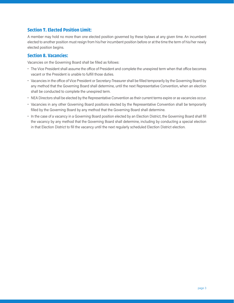# **Section 7. Elected Position Limit:**

A member may hold no more than one elected position governed by these bylaws at any given time. An incumbent elected to another position must resign from his/her incumbent position before or at the time the term of his/her newly elected position begins.

## **Section 8. Vacancies:**

Vacancies on the Governing Board shall be filled as follows:

- The Vice President shall assume the office of President and complete the unexpired term when that office becomes vacant or the President is unable to fulfill those duties.
- Vacancies in the office of Vice President or Secretary-Treasurer shall be filled temporarily by the Governing Board by any method that the Governing Board shall determine, until the next Representative Convention, when an election shall be conducted to complete the unexpired term.
- NEA Directors shall be elected by the Representative Convention as their current terms expire or as vacancies occur.
- Vacancies in any other Governing Board positions elected by the Representative Convention shall be temporarily filled by the Governing Board by any method that the Governing Board shall determine.
- In the case of a vacancy in a Governing Board position elected by an Election District, the Governing Board shall fill the vacancy by any method that the Governing Board shall determine, including by conducting a special election in that Election District to fill the vacancy until the next regularly scheduled Election District election.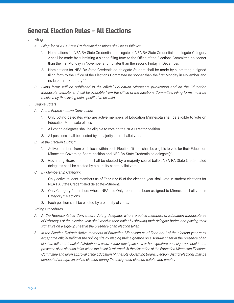# **General Election Rules – All Elections**

- I. Filing
	- *A. Filing for NEA RA State Credentialed positions shall be as follows:*
		- 1. Nominations for NEA RA State Credentialed delegate or NEA RA State Credentialed delegate-Category 2 shall be made by submitting a signed filing form to the Office of the Elections Committee no sooner than the first Monday in November and no later than the second Friday in December.
		- 2. Nominations for NEA RA State Credentialed delegate-Student shall be made by submitting a signed filing form to the Office of the Elections Committee no sooner than the first Monday in November and no later than February 15th.
	- *B. Filing forms will be published in the official Education Minnesota publication and on the Education Minnesota website, and will be available from the Office of the Elections Committee. Filing forms must be received by the closing date specified to be valid.*
- II. Eligible Voters
	- *A. At the Representative Convention:*
		- 1. Only voting delegates who are active members of Education Minnesota shall be eligible to vote on Education Minnesota offices.
		- 2. All voting delegates shall be eligible to vote on the NEA Director position.
		- 3. All positions shall be elected by a majority secret ballot vote.
	- *B. In the Election District:*
		- 1. Active members from each local within each Election District shall be eligible to vote for their Education Minnesota Governing Board position and NEA RA State Credentialed delegate(s).
		- 2. Governing Board members shall be elected by a majority secret ballot. NEA RA State Credentialed delegates shall be elected by a plurality secret ballot vote.
	- *C. By Membership Category:*
		- 1. Only active student members as of February 15 of the election year shall vote in student elections for NEA RA State Credentialed delegates-Student.
		- 2. Only Category 2 members whose NEA Life Only record has been assigned to Minnesota shall vote in Category 2 elections.
		- 3. Each position shall be elected by a plurality of votes.
- III. Voting Procedures
	- *A. At the Representative Convention: Voting delegates who are active members of Education Minnesota as of February 1 of the election year shall receive their ballot by showing their delegate badge and placing their signature on a sign-up sheet in the presence of an election teller.*
	- *B. In the Election District: Active members of Education Minnesota as of February 1 of the election year must accept the official ballot at the polling site by placing their signature on a sign-up sheet in the presence of an election teller; or if ballot distribution is used, a voter must place his or her signature on a sign-up sheet in the presence of an election teller when the ballot is returned. At the discretion of the Education Minnesota Elections Committee and upon approval of the Education Minnesota Governing Board, Election District elections may be conducted through an online election during the designated election date(s) and time(s).*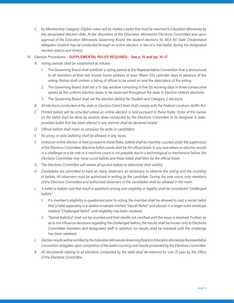- *C. By Membership Category: Eligible voters will be mailed a ballot that must be returned to Education Minnesota by the designated election date. At the discretion of the Education Minnesota Elections Committee and upon approval of the Education Minnesota Governing Board, the student elections for NEA RA State Credentialed delegates-Student may be conducted through an online election, in lieu of a mail ballot, during the designated election date(s) and time(s).*
- IV. Election Procedures **SUPPLEMENTAL RULES REQUIRED See p. 10 and pp. 16–17**
	- *A. Voting periods shall be established as follows:*
		- 1. The Governing Board shall establish a voting period at the Representative Convention that is announced to all members at their last known home address at least fifteen (15) calendar days in advance of the voting. Notice shall contain a listing of offices to be voted on and the date/place of the voting.
		- 2. The Governing Board shall set a 15-day window consisting of five (5) working days in three consecutive weeks as the uniform election dates to be observed throughout the state in Election District elections.
		- 3. The Governing Board shall set the election date(s) for Student and Category 2 elections.
	- *B. All elections conducted at the state or Election District level shall comply with the Federal Landrum-Griffin Act.*
	- *C. Printed ballots will be provided unless an online election is held pursuant to these Rules. Order of the names on the ballot shall be done by random draw conducted by the Elections Committee or its designee. A stateprovided ballot that has been altered in any manner shall be declared invalid.*
	- *D. Official ballots shall make no provision for write-in candidates.*
	- *E. No proxy or slate balloting shall be allowed in any races.*
	- *F. Unless an online election is held pursuant to these Rules, ballots shall be machine counted under the supervision of the Elections Committee. Machine ballot counts shall be the official totals. In any race where an election results in a challenge or a tie vote or a machine count is not possible due to a technological or mechanical failure, the Elections Committee may hand count ballots and these totals shall then be the official totals.*
	- *G. The Elections Committee will review all spoiled ballots to determine their validity.*
	- *H. Candidates are permitted to have as many observers as necessary to observe the voting and the counting of ballots. All observers must be authorized in writing by the candidate. During the vote count, only members of the Elections Committee and authorized observers of the candidates shall be allowed in the room.*
	- *I. A ballot or ballots cast that result in questions arising over eligibility or legality shall be considered "challenged ballots."*
		- 1. If a member's eligibility is questioned prior to voting, the member shall be allowed to cast a secret ballot that is held separately in a sealed envelope marked "Secret Ballot" and placed in a larger outer envelope marked "Challenged Ballot" until eligibility has been resolved.
		- 2. "Secret Ballot(s)" shall not be counted and final results not certified until the issue is resolved. Further, so as to not influence decisions regarding the challenged ballots, the results shall be known only to Elections Committee members and designated staff. In addition, no results shall be released until the challenge has been resolved.
	- *J. Election results will be certified by the Education Minnesota Governing Board or Education Minnesota Representative Convention delegates upon completion of the ballot counting and results presented by the Elections Committee.*
	- *K. All documents relating to all elections conducted by the state shall be retained for one (1) year by the Office of the Elections Committee.*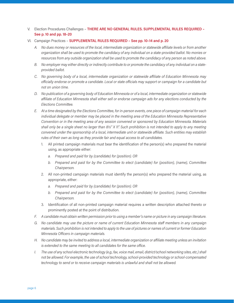- V. Election Procedures Challenges **THERE ARE NO GENERAL RULES. SUPPLEMENTAL RULES REQUIRED See p. 10 and pp. 18–20**
- VI. Campaign Practices **SUPPLEMENTAL RULES REQUIRED See pp. 10–14 and p. 20**
	- *A. No dues money or resources of the local, intermediate organization or statewide affiliate levels or from another organization shall be used to promote the candidacy of any individual on a state-provided ballot. No monies or resources from any outside organization shall be used to promote the candidacy of any person as noted above.*
	- *B. No employer may either directly or indirectly contribute to or promote the candidacy of any individual on a stateprovided ballot.*
	- *C. No governing body of a local, intermediate organization or statewide affiliate of Education Minnesota may officially endorse or promote a candidate. Local or state officials may support or campaign for a candidate but not on union time.*
	- *D. No publication of a governing body of Education Minnesota or of a local, intermediate organization or statewide affiliate of Education Minnesota shall either sell or endorse campaign ads for any elections conducted by the Elections Committee.*
	- *E. At a time designated by the Elections Committee, for in-person events, one piece of campaign material for each individual delegate or member may be placed in the meeting area of the Education Minnesota Representative Convention or in the meeting area of any session convened or sponsored by Education Minnesota. Materials shall only be a single sheet no larger than 8½" X 11". Such prohibition is not intended to apply to any meeting convened under the sponsorship of a local, intermediate unit or statewide affiliate. Such entities may establish rules of their own as long as they provide fair and equal access to all candidates.*
		- 1. All printed campaign materials must bear the identification of the person(s) who prepared the material using, as appropriate either:
			- *a. Prepared and paid for by (candidate) for (position). OR*
			- *b. Prepared and paid for by the Committee to elect (candidate) for (position), (name), Committee Chairperson.*
		- 2. All non-printed campaign materials must identify the person(s) who prepared the material using, as appropriate, either:
			- *a. Prepared and paid for by (candidate) for (position). OR*
			- *b. Prepared and paid for by the Committee to elect (candidate) for (position), (name), Committee Chairperson.*
		- 3. Identification of all non-printed campaign material requires a written description attached thereto or prominently posted at the point of distribution.
	- *F. A candidate must obtain written permission prior to using a member's name or picture in any campaign literature.*
	- *G. No candidate may use the picture or name of current Education Minnesota staff members in any campaign materials. Such prohibition is not intended to apply to the use of pictures or names of current or former Education Minnesota Officers in campaign materials.*
	- *H. No candidate may be invited to address a local, intermediate organization or affiliate meeting unless an invitation is extended to the same meeting to all candidates for the same office.*
	- *I. The use of any school electronic technology (e.g., fax, voice mail, email, district/school networking sites, etc.) shall not be allowed. For example, the use of school technology, school-provided technology or school-compensated technology to send or to receive campaign materials is unlawful and shall not be allowed.*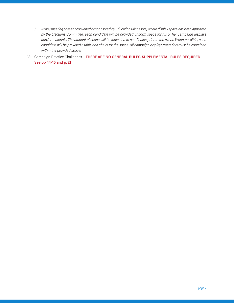- *J. At any meeting or event convened or sponsored by Education Minnesota, where display space has been approved by the Elections Committee, each candidate will be provided uniform space for his or her campaign displays and/or materials. The amount of space will be indicated to candidates prior to the event. When possible, each candidate will be provided a table and chairs for the space. All campaign displays/materials must be contained within the provided space.*
- VII. Campaign Practice Challenges **THERE ARE NO GENERAL RULES. SUPPLEMENTAL RULES REQUIRED See pp. 14–15 and p. 21**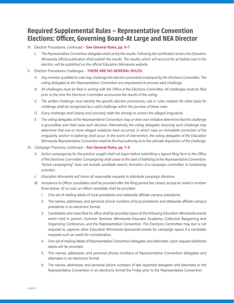# **Required Supplemental Rules – Representative Convention Elections: Officer, Governing Board-At Large and NEA Director**

#### IV. Election Procedures, continued – **See General Rules, pp. 6–7**

*L. The Representative Convention delegates shall certify the results. Following the certification action, the Education Minnesota official publication shall publish the results. The results, which will account for all ballots cast in the election, will be published on the official Education Minnesota website.*

#### V. Election Procedures Challenges – **THERE ARE NO GENERAL RULES.**

- *A. Any member qualified to vote may challenge the election procedure employed by the Elections Committee. The voting delegates to the Representative Convention are empowered to process said challenge.*
- *B. All challenges must be filed in writing with the Office of the Elections Committee. All challenges must be filed prior to the time the Elections Committee announces the results of the voting.*
- *C. The written challenge must identify the specific election procedures, rule or rules violated. No other basis for challenge shall be recognized as a valid challenge within the purview of these rules.*
- *D. Every challenge shall clearly and concisely state the remedy to correct the alleged irregularity.*
- *E. The voting delegates of the Representative Convention may on their own initiative determine that the challenge is groundless and shall issue such decision. Alternatively, the voting delegates receiving such challenge may determine that one or more alleged violations have occurred, in which case an immediate correction of the irregularity and/or re-balloting shall occur. In the event of intervention, the voting delegates of the Education Minnesota Representative Convention shall be the final authority as to the ultimate disposition of the challenge.*
- VI. Campaign Practices, continued **See General Rules, pp. 7–9**
	- *K. Active campaigning for the position sought shall not begin before submitting a signed filing form to the Office of the Elections Committee. Campaigning shall cease at the start of balloting at the Representative Convention. "Active campaigning" does not include candidate search, formation of a campaign committee, or fundraising activities.*
	- *L. Education Minnesota will honor all reasonable requests to distribute campaign literature.*
	- *M. Assistance to Officer candidates shall be provided after the filing period has closed, except as noted in number three below: At no cost, an officer candidate shall be provided:*
		- 1. One set of mailing labels of local presidents and statewide affiliate campus presidents.
		- 2. The names, addresses, and personal phone numbers of local presidents and statewide affiliate campus presidents in an electronic format.
		- 3. Candidates who have filed for office shall be provided space at the following Education Minnesota events when held in person: Summer Seminar, Minnesota Educator Academy, Collective Bargaining and Organizing Conference, and the Representative Convention. The Elections Committee may, but is not required to, approve other Education Minnesota-sponsored events for campaign space if a candidate requests such an event for consideration.
		- 4. One set of mailing labels of Representative Convention delegates and alternates. Upon request additional labels will be provided.
		- 5. The names, addresses, and personal phone numbers of Representative Convention delegates and alternates in an electronic format.
		- 6. The names, addresses, and personal phone numbers of late registrant delegates and alternates to the Representative Convention in an electronic format the Friday prior to the Representative Convention.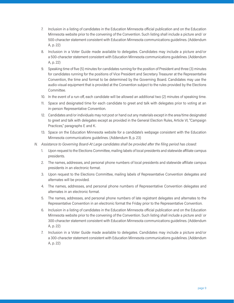- 7. Inclusion in a listing of candidates in the Education Minnesota official publication and on the Education Minnesota website prior to the convening of the Convention. Such listing shall include a picture and/ or 500-character statement consistent with Education Minnesota communications guidelines. (Addendum A, p. 22)
- 8. Inclusion in a Voter Guide made available to delegates. Candidates may include a picture and/or a 500-character statement consistent with Education Minnesota communications guidelines. (Addendum A, p. 22)
- 9. Speaking time of five (5) minutes for candidates running for the position of President and three (3) minutes for candidates running for the positions of Vice President and Secretary Treasurer at the Representative Convention, the time and format to be determined by the Governing Board. Candidates may use the audio-visual equipment that is provided at the Convention subject to the rules provided by the Elections Committee.
- 10. In the event of a run-off, each candidate will be allowed an additional two (2) minutes of speaking time.
- 11. Space and designated time for each candidate to greet and talk with delegates prior to voting at an in-person Representative Convention.
- 12. Candidates and/or individuals may not post or hand out any materials except in the area/time designated to greet and talk with delegates except as provided in the General Election Rules, Article VI, "Campaign Practices," paragraphs E and K.
- 13. Space on the Education Minnesota website for a candidate's webpage consistent with the Education Minnesota communications guidelines. (Addendum B, p. 23)
- *N. Assistance to Governing Board-At Large candidates shall be provided after the filing period has closed:*
	- 1. Upon request to the Elections Committee, mailing labels of local presidents and statewide affiliate campus presidents.
	- 2. The names, addresses, and personal phone numbers of local presidents and statewide affiliate campus presidents in an electronic format.
	- 3. Upon request to the Elections Committee, mailing labels of Representative Convention delegates and alternates will be provided.
	- 4. The names, addresses, and personal phone numbers of Representative Convention delegates and alternates in an electronic format.
	- 5. The names, addresses, and personal phone numbers of late registrant delegates and alternates to the Representative Convention in an electronic format the Friday prior to the Representative Convention.
	- 6. Inclusion in a listing of candidates in the Education Minnesota official publication and on the Education Minnesota website prior to the convening of the Convention. Such listing shall include a picture and/ or 300-character statement consistent with Education Minnesota communications guidelines. (Addendum A, p. 22)
	- 7. Inclusion in a Voter Guide made available to delegates. Candidates may include a picture and/or a 300-character statement consistent with Education Minnesota communications guidelines. (Addendum A, p. 22)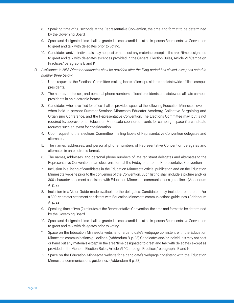- 8. Speaking time of 90 seconds at the Representative Convention, the time and format to be determined by the Governing Board.
- 9. Space and designated time shall be granted to each candidate at an in-person Representative Convention to greet and talk with delegates prior to voting.
- 10. Candidates and/or individuals may not post or hand out any materials except in the area/time designated to greet and talk with delegates except as provided in the General Election Rules, Article VI, "Campaign Practices," paragraphs E and K.
- *O. Assistance to NEA Director candidates shall be provided after the filing period has closed, except as noted in number three below:*
	- 1. Upon request to the Elections Committee, mailing labels of local presidents and statewide affiliate campus presidents.
	- 2. The names, addresses, and personal phone numbers of local presidents and statewide affiliate campus presidents in an electronic format.
	- 3. Candidates who have filed for office shall be provided space at the following Education Minnesota events when held in person: Summer Seminar, Minnesota Educator Academy, Collective Bargaining and Organizing Conference, and the Representative Convention. The Elections Committee may, but is not required to, approve other Education Minnesota-sponsored events for campaign space if a candidate requests such an event for consideration.
	- 4. Upon request to the Elections Committee, mailing labels of Representative Convention delegates and alternates.
	- 5. The names, addresses, and personal phone numbers of Representative Convention delegates and alternates in an electronic format.
	- 6. The names, addresses, and personal phone numbers of late registrant delegates and alternates to the Representative Convention in an electronic format the Friday prior to the Representative Convention.
	- 7. Inclusion in a listing of candidates in the Education Minnesota official publication and on the Education Minnesota website prior to the convening of the Convention. Such listing shall include a picture and/ or 300-character statement consistent with Education Minnesota communications guidelines. (Addendum A, p. 22)
	- 8. Inclusion in a Voter Guide made available to the delegates. Candidates may include a picture and/or a 300-character statement consistent with Education Minnesota communications guidelines. (Addendum A, p. 22)
	- 9. Speaking time of two (2) minutes at the Representative Convention, the time and format to be determined by the Governing Board.
	- 10. Space and designated time shall be granted to each candidate at an in-person Representative Convention to greet and talk with delegates prior to voting.
	- 11. Space on the Education Minnesota website for a candidate's webpage consistent with the Education Minnesota communications guidelines. (Addendum B, p. 23) Candidates and/or individuals may not post or hand out any materials except in the area/time designated to greet and talk with delegates except as provided in the General Election Rules, Article VI, "Campaign Practices," paragraphs E and K.
	- 12. Space on the Education Minnesota website for a candidate's webpage consistent with the Education Minnesota communications guidelines. (Addendum B p. 23)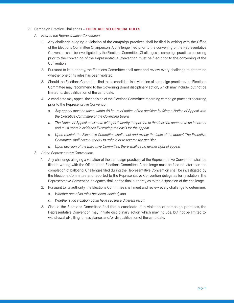- VII. Campaign Practice Challenges **THERE ARE NO GENERAL RULES**
	- *A. Prior to the Representative Convention:*
		- 1. Any challenge alleging a violation of the campaign practices shall be filed in writing with the Office of the Elections Committee Chairperson. A challenge filed prior to the convening of the Representative Convention shall be investigated by the Elections Committee. Challenges to campaign practices occurring prior to the convening of the Representative Convention must be filed prior to the convening of the Convention.
		- 2. Pursuant to its authority, the Elections Committee shall meet and review every challenge to determine whether one of its rules has been violated.
		- 3. Should the Elections Committee find that a candidate is in violation of campaign practices, the Elections Committee may recommend to the Governing Board disciplinary action, which may include, but not be limited to, disqualification of the candidate.
		- 4. A candidate may appeal the decision of the Elections Committee regarding campaign practices occurring prior to the Representative Convention.
			- *a. Any appeal must be taken within 48 hours of notice of the decision by filing a Notice of Appeal with the Executive Committee of the Governing Board.*
			- *b. The Notice of Appeal must state with particularity the portion of the decision deemed to be incorrect and must contain evidence illustrating the basis for the appeal.*
			- *c. Upon receipt, the Executive Committee shall meet and review the facts of the appeal. The Executive Committee shall have authority to uphold or to reverse the decision.*
			- *d. Upon decision of the Executive Committee, there shall be no further right of appeal.*
	- *B. At the Representative Convention:*
		- 1. Any challenge alleging a violation of the campaign practices at the Representative Convention shall be filed in writing with the Office of the Elections Committee. A challenge must be filed no later than the completion of balloting. Challenges filed during the Representative Convention shall be investigated by the Elections Committee and reported to the Representative Convention delegates for resolution. The Representative Convention delegates shall be the final authority as to the disposition of the challenge.
		- 2. Pursuant to its authority, the Elections Committee shall meet and review every challenge to determine:
			- *a. Whether one of its rules has been violated, and*
			- *b. Whether such violation could have caused a different result.*
		- 3. Should the Elections Committee find that a candidate is in violation of campaign practices, the Representative Convention may initiate disciplinary action which may include, but not be limited to, withdrawal of/billing for assistance, and/or disqualification of the candidate.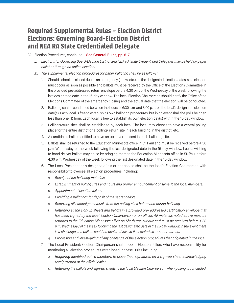# **Required Supplemental Rules – Election District Elections: Governing Board-Election District and NEA RA State Credentialed Delegate**

#### IV. Election Procedures, continued – **See General Rules, pp. 6–7**

- *L. Elections for Governing Board-Election District and NEA RA State Credentialed Delegates may be held by paper ballot or through an online election.*
- *M. The supplemental election procedures for paper balloting shall be as follows:*
	- 1. Should school be closed due to an emergency (snow, etc.) on the designated election dates, said election must occur as soon as possible and ballots must be received by the Office of the Elections Committee in the provided pre-addressed return envelope before 4:30 p.m. of the Wednesday of the week following the last designated date in the 15-day window. The local Election Chairperson should notify the Office of the Elections Committee of the emergency closing and the actual date that the election will be conducted.
	- 2. Balloting can be conducted between the hours of 6:30 a.m. and 8:00 p.m. on the local's designated election date(s). Each local is free to establish its own balloting procedures, but in no event shall the polls be open less than one (1) hour. Each local is free to establish its own election day(s) within the 15-day window.
	- 3. Polling/return sites shall be established by each local. The local may choose to have a central polling place for the entire district or a polling/ return site in each building in the district, etc.
	- 4. A candidate shall be entitled to have an observer present in each balloting site.
	- 5. Ballots shall be returned to the Education Minnesota office in St. Paul and must be received before 4:30 p.m. Wednesday of the week following the last designated date in the 15-day window. Locals wishing to hand deliver ballots may do so by bringing them to the Education Minnesota office in St. Paul before 4:30 p.m. Wednesday of the week following the last designated date in the 15-day window.
	- 6. The Local President or a designee of his or her choice shall be the local's Election Chairperson with responsibility to oversee all election procedures including:
		- *a. Receipt of the balloting materials.*
		- *b. Establishment of polling sites and hours and proper announcement of same to the local members.*
		- *c. Appointment of election tellers.*
		- *d. Providing a ballot box for deposit of the secret ballots.*
		- *e. Removing all campaign materials from the polling sites before and during balloting.*
		- *f. Returning all the sign-up sheets and ballots in a provided pre- addressed certification envelope that has been signed by the local Election Chairperson or an officer. All materials noted above must be returned to the Education Minnesota office on Sherburne Avenue and must be received before 4:30 p.m. Wednesday of the week following the last designated date in the 15-day window. In the event there is a challenge, the ballots could be declared invalid if all materials are not returned.*
		- *g. Processing and investigating of any challenge of the election procedures that originated in the local.*
	- 7. The Local President/Election Chairperson shall appoint Election Tellers who have responsibility for monitoring all election procedures established in these Rules including:
		- *a. Requiring identified active members to place their signatures on a sign-up sheet acknowledging receipt/return of the official ballot.*
		- *b. Returning the ballots and sign-up sheets to the local Election Chairperson when polling is concluded.*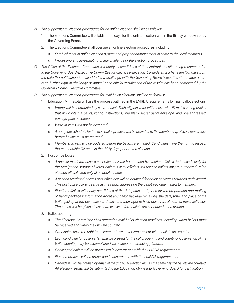- *N. The supplemental election procedures for an online election shall be as follows:*
	- 1. The Elections Committee will establish the days for the online election within the 15-day window set by the Governing Board.
	- 2. The Elections Committee shall oversee all online election procedures including:
		- *a. Establishment of online election system and proper announcement of same to the local members.*
		- *b. Processing and investigating of any challenge of the election procedures.*
- *O. The Office of the Elections Committee will notify all candidates of the electronic results being recommended to the Governing Board/Executive Committee for official certification. Candidates will have ten (10) days from the date the notification is mailed to file a challenge with the Governing Board/Executive Committee. There is no further right of challenge or appeal once official certification of the results has been completed by the Governing Board/Executive Committee.*
- *P. The supplemental election procedures for mail ballot elections shall be as follows:*
	- 1. Education Minnesota will use the process outlined in the LMRDA requirements for mail ballot elections.
		- *a. Voting will be conducted by secret ballot. Each eligible voter will receive via US mail a voting packet that will contain a ballot, voting instructions, one blank secret ballot envelope, and one addressed, postage-paid envelope.*
		- *b. Write-in votes will not be accepted.*
		- *c. A complete schedule for the mail ballot process will be provided to the membership at least four weeks before ballots must be returned.*
		- *d. Membership lists will be updated before the ballots are mailed. Candidates have the right to inspect the membership list once in the thirty days prior to the election.*
	- 2. Post office boxes
		- *a. A special restricted-access post office box will be obtained by election officials, to be used solely for the receipt and storage of voted ballots. Postal officials will release ballots only to authorized union election officials and only at a specified time.*
		- *b. A second restricted-access post office box will be obtained for ballot packages returned undelivered. This post office box will serve as the return address on the ballot package mailed to members.*
		- *c. Election officials will notify candidates of the date, time, and place for the preparation and mailing of ballot packages; information about any ballot package remailing; the date, time, and place of the ballot pickup at the post office and tally; and their right to have observers at each of these activities. The notice will be given at least two weeks before ballots are scheduled to be printed.*
	- 3. Ballot counting
		- *a. The Elections Committee shall determine mail ballot election timelines, including when ballots must be received and when they will be counted.*
		- *b. Candidates have the right to observe or have observers present when ballots are counted.*
		- *c. Each candidate (or observer(s)) may be present for the ballot opening and counting. Observation of the ballot count(s) may be accomplished via a video conferencing platform.*
		- *d. Challenged ballots will be processed in accordance with the LMRDA requirements.*
		- *e. Election protests will be processed in accordance with the LMRDA requirements.*
		- *f. Candidates will be notified by email of the unofficial election results the same day the ballots are counted. All election results will be submitted to the Education Minnesota Governing Board for certification.*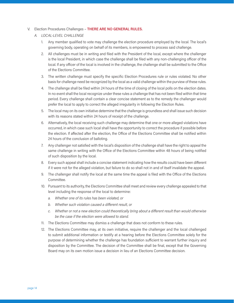#### V. Election Procedures Challenges – **THERE ARE NO GENERAL RULES.**

- *A. LOCAL-LEVEL CHALLENGE*
	- 1. Any member qualified to vote may challenge the election procedure employed by the local. The local's governing body, operating on behalf of its members, is empowered to process said challenge.
	- 2. All challenges must be in writing and filed with the President of the local, except where the challenger is the local President, in which case the challenge shall be filed with any non-challenging officer of the local. If any officer of the local is involved in the challenge, the challenge shall be submitted to the Office of the Elections Committee.
	- 3. The written challenge must specify the specific Election Procedures rule or rules violated. No other basis for challenge need be recognized by the local as a valid challenge within the purview of these rules.
	- 4. The challenge shall be filed within 24 hours of the time of closing of the local polls on the election dates. In no event shall the local recognize under these rules a challenge that has not been filed within that time period. Every challenge shall contain a clear concise statement as to the remedy the challenger would prefer the local to apply to correct the alleged irregularity in following the Election Rules.
	- 5. The local may on its own initiative determine that the challenge is groundless and shall issue such decision with its reasons stated within 24 hours of receipt of the challenge.
	- 6. Alternatively, the local receiving such challenge may determine that one or more alleged violations have occurred, in which case such local shall have the opportunity to correct the procedure if possible before the election. If affected after the election, the Office of the Elections Committee shall be notified within 24 hours of the conclusion of balloting.
	- 7. Any challenger not satisfied with the local's disposition of the challenge shall have the right to appeal the same challenge in writing with the Office of the Elections Committee within 48 hours of being notified of such disposition by the local.
	- 8. Every such appeal shall include a concise statement indicating how the results could have been different if it were not for the alleged violation, but failure to do so shall not in and of itself invalidate the appeal.
	- 9. The challenger shall notify the local at the same time the appeal is filed with the Office of the Elections Committee.
	- 10. Pursuant to its authority, the Elections Committee shall meet and review every challenge appealed to that level including the response of the local to determine:
		- *a. Whether one of its rules has been violated, or*
		- *b. Whether such violation caused a different result, or*
		- *c. Whether or not a new election could theoretically bring about a different result than would otherwise be the case if the election were allowed to stand.*
	- 11. The Elections Committee may dismiss a challenge that does not conform to these rules.
	- 12. The Elections Committee may, at its own initiative, require the challenger and the local challenged to submit additional information or testify at a hearing before the Elections Committee solely for the purpose of determining whether the challenge has foundation sufficient to warrant further inquiry and disposition by the Committee. The decision of the Committee shall be final, except that the Governing Board may on its own motion issue a decision in lieu of an Elections Committee decision.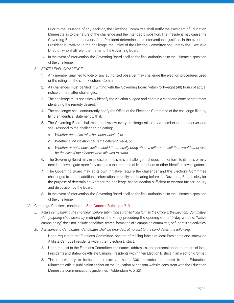- 13. Prior to the issuance of any decision, the Elections Committee shall notify the President of Education Minnesota as to the nature of the challenge and the intended disposition. The President may cause the Governing Board to intervene, if the President determines that intervention is justified. In the event the President is involved in the challenge, the Office of the Election Committee shall notify the Executive Director, who shall refer the matter to the Governing Board.
- 14. In the event of intervention, the Governing Board shall be the final authority as to the ultimate disposition of the challenge.
- *B. STATE-LEVEL CHALLENGE*
	- 1. Any member qualified to vote or any authorized observer may challenge the election procedures used or the rulings of the state Elections Committee.
	- 2. All challenges must be filed in writing with the Governing Board within forty-eight (48) hours of actual notice of the matter challenged.
	- 3. The challenge must specifically identify the violation alleged and contain a clear and concise statement identifying the remedy desired.
	- 4. The challenger shall concurrently notify the Office of the Elections Committee of the challenge filed by filing an identical statement with it.
	- 5. The Governing Board shall meet and review every challenge raised by a member or an observer and shall respond to the challenger indicating:
		- *a. Whether one of its rules has been violated, or*
		- *b. Whether such violation caused a different result, or*
		- *c. Whether or not a new election could theoretically bring about a different result than would otherwise be the case if the election were allowed to stand.*
	- 6. The Governing Board may in its discretion dismiss a challenge that does not conform to its rules or may decide to investigate more fully using a subcommittee of its members or other identified investigators.
	- 7. The Governing Board may, at its own initiative, require the challenger and the Elections Committee challenged to submit additional information or testify at a hearing before the Governing Board solely for the purpose of determining whether the challenge has foundation sufficient to warrant further inquiry and disposition by the Board.
	- 8. In the event of intervention, the Governing Board shall be the final authority as to the ultimate disposition of the challenge.
- VI. Campaign Practices, continued **See General Rules, pp. 7–9**
	- *L. Active campaigning shall not begin before submitting a signed filing form to the Office of the Elections Committee. Campaigning shall cease by* midnight on the Friday preceding the opening of the 15-day window. "Active campaigning" does not include candidate search, formation of a campaign committee, or fundraising activities.
	- *M. Assistance to Candidates: Candidates shall be provided, at no cost to the candidates, the following:*
		- 1. Upon request to the Elections Committee, one set of mailing labels of local Presidents and statewide Affiliate Campus Presidents within their Election District.
		- 2. Upon request to the Elections Committee, the names, addresses, and personal phone numbers of local Presidents and statewide Affiliate Campus Presidents within their Election District in an electronic format.
		- 3. The opportunity to include a picture and/or a 300-character statement in the Education Minnesota official publication and/or on the Education Minnesota website consistent with the Education Minnesota communications guidelines. (Addendum A, p. 22)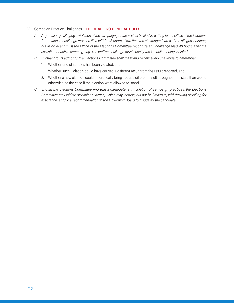#### VII. Campaign Practice Challenges – **THERE ARE NO GENERAL RULES**

- *A. Any challenge alleging a violation of the campaign practices shall be filed in writing to the Office of the Elections Committee. A challenge must be filed within 48 hours of the time the challenger learns of the alleged violation, but in no event must the Office of the Elections Committee recognize any challenge filed 48 hours after the cessation of active campaigning. The written challenge must specify the Guideline being violated.*
- *B. Pursuant to its authority, the Elections Committee shall meet and review every challenge to determine:*
	- 1. Whether one of its rules has been violated, and
	- 2. Whether such violation could have caused a different result from the result reported, and
	- 3. Whether a new election could theoretically bring about a different result throughout the state than would otherwise be the case if the election were allowed to stand.
- *C. Should the Elections Committee find that a candidate is in violation of campaign practices, the Elections Committee may initiate disciplinary action, which may include, but not be limited to, withdrawing of/billing for assistance, and/or a recommendation to the Governing Board to disqualify the candidate.*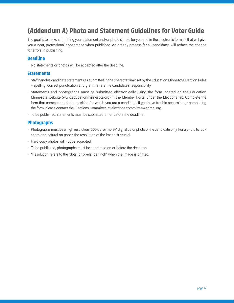# **(Addendum A) Photo and Statement Guidelines for Voter Guide**

The goal is to make submitting your statement and/or photo simple for you and in the electronic formats that will give you a neat, professional appearance when published. An orderly process for all candidates will reduce the chance for errors in publishing.

## **Deadline**

• No statements or photos will be accepted after the deadline.

# **Statements**

- Staff handles candidate statements as submitted in the character limit set by the Education Minnesota Election Rules – spelling, correct punctuation and grammar are the candidate's responsibility.
- Statements and photographs must be submitted electronically using the form located on the Education Minnesota website (www.educationminnesota.org) in the Member Portal under the Elections tab. Complete the form that corresponds to the position for which you are a candidate. If you have trouble accessing or completing the form, please contact the Elections Committee at elections.committee@edmn. org.
- To be published, statements must be submitted on or before the deadline.

# **Photographs**

- Photographs must be a high resolution (300 dpi or more)\* digital color photo of the candidate only. For a photo to look sharp and natural on paper, the resolution of the image is crucial.
- Hard copy photos will not be accepted.
- To be published, photographs must be submitted on or before the deadline.
- \*Resolution refers to the "dots (or pixels) per inch" when the image is printed.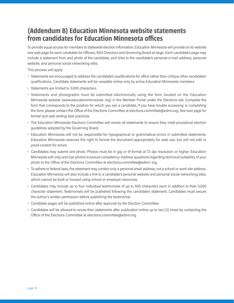# **(Addendum B) Education Minnesota website statements from candidates for Education Minnesota offices**

To provide equal access for members to statewide election information, Education Minnesota will provide on its website one web page for each candidate for Officers, NEA Directors and Governing Board at-large. Each candidate's page may include a statement from and photo of the candidate, and links to the candidate's personal e-mail address, personal website, and personal social networking sites.

This process will apply:

- Statements are encouraged to address the candidate's qualifications for office rather than critique other candidates' qualifications. Candidate statements will be viewable online only by active Education Minnesota members.
- Statements are limited to 3,000 characters.
- Statements and photographs must be submitted electronically using the form located on the Education Minnesota website (www.educationminnesota. org) in the Member Portal under the Elections tab. Complete the form that corresponds to the position for which you are a candidate. If you have trouble accessing or completing the form, please contact the Office of the Elections Committee at elections.committee@edmn.org. See next page for format and web writing best practices.
- The Education Minnesota Elections Committee will review all statements to ensure they meet procedural election guidelines adopted by the Governing Board.
- Education Minnesota will not be responsible for typographical or grammatical errors in submitted statements. Education Minnesota reserves the right to format the document appropriately for web use, but will not edit or proof content for errors.
- Candidates may submit one photo. Photos must be in jpg or tif format at 72 dpi resolution or higher. Education Minnesota will crop and size photos to ensure consistency. Address questions regarding technical suitability of your photo to the Office of the Elections Committee at elections.committee@edmn. org.
- To adhere to federal laws, the statement may contain only a personal email address, not a school or work site address. Education Minnesota will also include a link to a candidate's personal website and personal social networking sites, which cannot be built or housed using school or employer resources.
- Candidates may include up to four individual testimonials of up to 500 characters each in addition to their 3,000 character statement. Testimonials will be published following the candidate's statement. Candidates must secure the author's written permission before publishing the testimonial.
- Candidate pages will be published online after approval by the Election Committee.
- Candidates will be allowed to revise their statements after publication online up to two (2) times by contacting the Office of the Elections Committee at elections.committee@edmn.org.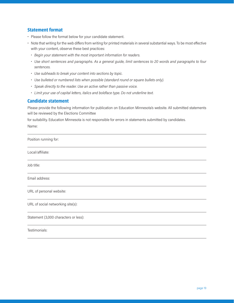# **Statement format**

- Please follow the format below for your candidate statement.
- Note that writing for the web differs from writing for printed materials in several substantial ways. To be most effective with your content, observe these best practices:
	- *• Begin your statement with the most important information for readers.*
	- *• Use short sentences and paragraphs. As a general guide, limit sentences to 20 words and paragraphs to four sentences.*
	- *• Use subheads to break your content into sections by topic.*
	- *• Use bulleted or numbered lists when possible (standard round or square bullets only).*
	- *• Speak directly to the reader. Use an active rather than passive voice.*
	- *• Limit your use of capital letters, italics and boldface type. Do not underline text.*

## **Candidate statement**

Please provide the following information for publication on Education Minnesota's website. All submitted statements will be reviewed by the Elections Committee

for suitability. Education Minnesota is not responsible for errors in statements submitted by candidates.

Name:

Position running for:

Local/affiliate:

Job title:

Email address:

URL of personal website:

URL of social networking site(s):

Statement (3,000 characters or less):

Testimonials: